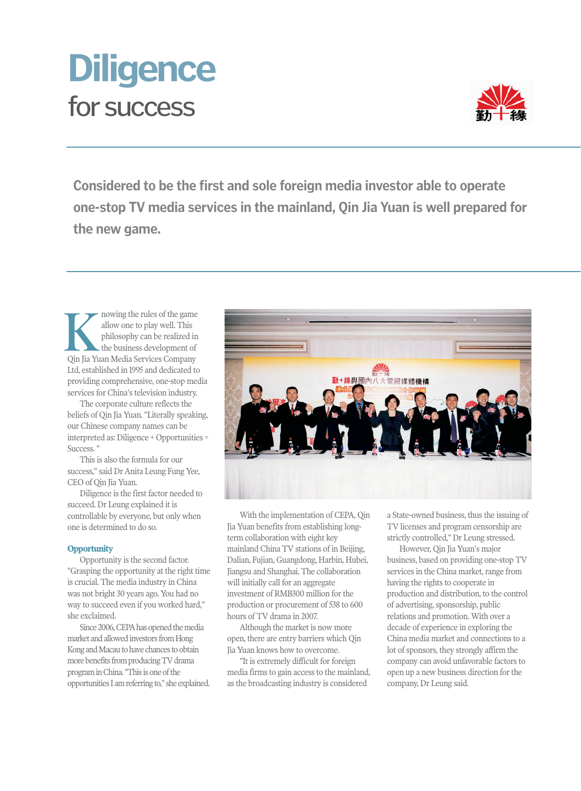# for success **Diligence**



**Considered to be the first and sole foreign media investor able to operate one-stop TV media services in the mainland, Qin Jia Yuan is well prepared for the new game.**

nowing the rules of the game allow one to play well. This philosophy can be realized in the business development of **K** nowing the rules of the game<br>allow one to play well. This<br>philosophy can be realized in<br>the business development of<br>Qin Jia Yuan Media Services Company Ltd, established in 1995 and dedicated to providing comprehensive, one-stop media services for China's television industry.

The corporate culture reflects the beliefs of Qin Jia Yuan. "Literally speaking, our Chinese company names can be interpreted as: Diligence + Opportunities = Success. "

This is also the formula for our success," said Dr Anita Leung Fung Yee, CEO of Qin Jia Yuan.

Diligence is the first factor needed to succeed. Dr Leung explained it is controllable by everyone, but only when one is determined to do so.

## **Opportunity**

Opportunity is the second factor. "Grasping the opportunity at the right time is crucial. The media industry in China was not bright 30 years ago. You had no way to succeed even if you worked hard," she exclaimed.

Since 2006, CEPA has opened the media market and allowed investors from Hong Kong and Macau to have chances to obtain more benefits from producing TV drama program in China. "This is one of the opportunities I am referring to," she explained.



With the implementation of CEPA, Qin Jia Yuan benefits from establishing longterm collaboration with eight key mainland China TV stations of in Beijing, Dalian, Fujian, Guangdong, Harbin, Hubei, Jiangsu and Shanghai. The collaboration will initially call for an aggregate investment of RMB300 million for the production or procurement of 538 to 600 hours of TV drama in 2007.

Although the market is now more open, there are entry barriers which Qin Jia Yuan knows how to overcome.

"It is extremely difficult for foreign media firms to gain access to the mainland, as the broadcasting industry is considered

a State-owned business, thus the issuing of TV licenses and program censorship are strictly controlled," Dr Leung stressed.

However, Qin Jia Yuan's major business, based on providing one-stop TV services in the China market, range from having the rights to cooperate in production and distribution, to the control of advertising, sponsorship, public relations and promotion. With over a decade of experience in exploring the China media market and connections to a lot of sponsors, they strongly affirm the company can avoid unfavorable factors to open up a new business direction for the company, Dr Leung said.